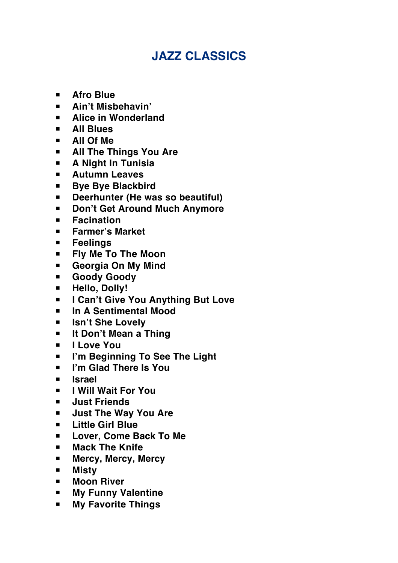## **JAZZ CLASSICS**

- **▪ Afro Blue**
- **▪ Ain't Misbehavin'**
- **▪ Alice in Wonderland**
- **▪ All Blues**
- **▪ All Of Me**
- **▪ All The Things You Are**
- **▪ A Night In Tunisia**
- **▪ Autumn Leaves**
- **▪ Bye Bye Blackbird**
- **▪ Deerhunter (He was so beautiful)**
- **▪ Don't Get Around Much Anymore**
- **▪ Facination**
- **▪ Farmer's Market**
- **▪ Feelings**
- **▪ Fly Me To The Moon**
- **▪ Georgia On My Mind**
- **▪ Goody Goody**
- **▪ Hello, Dolly!**
- **▪ I Can't Give You Anything But Love**
- **▪ In A Sentimental Mood**
- **▪ Isn't She Lovely**
- **▪ It Don't Mean a Thing**
- **▪ I Love You**
- **▪ I'm Beginning To See The Light**
- **▪ I'm Glad There Is You**
- **▪ Israel**
- **▪ I Will Wait For You**
- **▪ Just Friends**
- **▪ Just The Way You Are**
- **▪ Little Girl Blue**
- **▪ Lover, Come Back To Me**
- **▪ Mack The Knife**
- **▪ Mercy, Mercy, Mercy**
- **▪ Misty**
- **▪ Moon River**
- **▪ My Funny Valentine**
- **▪ My Favorite Things**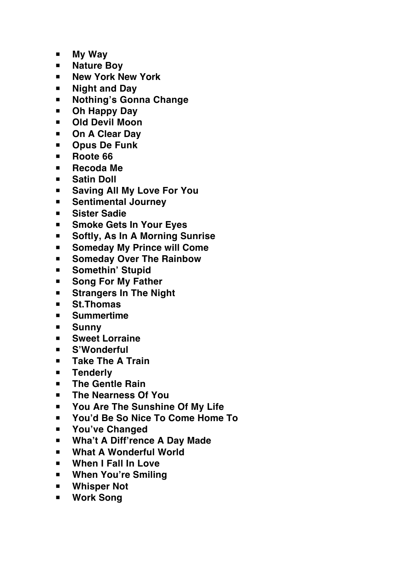- **▪ My Way**
- **▪ Nature Boy**
- **▪ New York New York**
- **▪ Night and Day**
- **▪ Nothing's Gonna Change**
- **▪ Oh Happy Day**
- **▪ Old Devil Moon**
- **▪ On A Clear Day**
- **▪ Opus De Funk**
- **▪ Roote 66**
- **▪ Recoda Me**
- **▪ Satin Doll**
- **▪ Saving All My Love For You**
- **▪ Sentimental Journey**
- **▪ Sister Sadie**
- **▪ Smoke Gets In Your Eyes**
- **▪ Softly, As In A Morning Sunrise**
- **▪ Someday My Prince will Come**
- **▪ Someday Over The Rainbow**
- **▪ Somethin' Stupid**
- **▪ Song For My Father**
- **▪ Strangers In The Night**
- **▪ St.Thomas**
- **▪ Summertime**
- **▪ Sunny**
- **▪ Sweet Lorraine**
- **▪ S'Wonderful**
- **▪ Take The A Train**
- **▪ Tenderly**
- **▪ The Gentle Rain**
- **▪ The Nearness Of You**
- **▪ You Are The Sunshine Of My Life**
- **▪ You'd Be So Nice To Come Home To**
- **▪ You've Changed**
- **▪ Wha't A Diff'rence A Day Made**
- **▪ What A Wonderful World**
- **▪ When I Fall In Love**
- **▪ When You're Smiling**
- **▪ Whisper Not**
- **▪ Work Song**